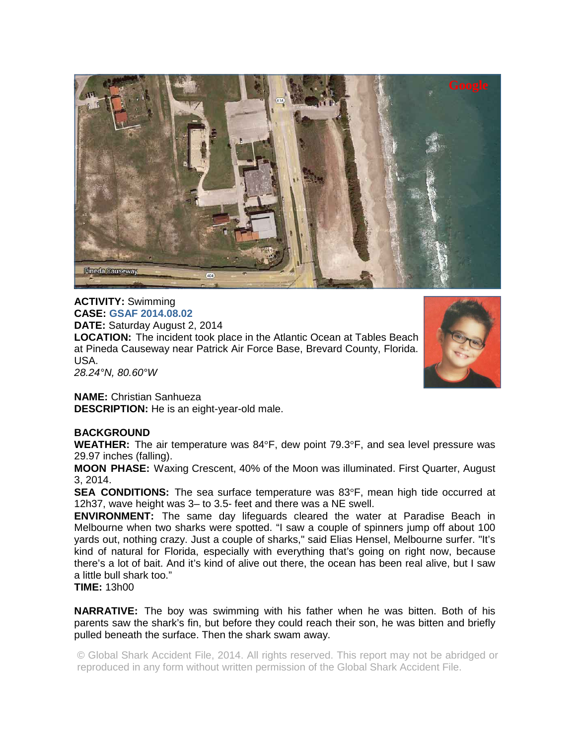

## **ACTIVITY:** Swimming **CASE: GSAF 2014.08.02**

**DATE:** Saturday August 2, 2014

**LOCATION:** The incident took place in the Atlantic Ocean at Tables Beach at Pineda Causeway near Patrick Air Force Base, Brevard County, Florida. USA. *28.24°N, 80.60°W* 



**NAME:** Christian Sanhueza **DESCRIPTION:** He is an eight-year-old male.

## **BACKGROUND**

**WEATHER:** The air temperature was 84°F, dew point 79.3°F, and sea level pressure was 29.97 inches (falling).

**MOON PHASE:** Waxing Crescent, 40% of the Moon was illuminated. First Quarter, August 3, 2014.

**SEA CONDITIONS:** The sea surface temperature was 83°F, mean high tide occurred at 12h37, wave height was 3– to 3.5- feet and there was a NE swell.

**ENVIRONMENT:** The same day lifeguards cleared the water at Paradise Beach in Melbourne when two sharks were spotted. "I saw a couple of spinners jump off about 100 yards out, nothing crazy. Just a couple of sharks," said Elias Hensel, Melbourne surfer. "It's kind of natural for Florida, especially with everything that's going on right now, because there's a lot of bait. And it's kind of alive out there, the ocean has been real alive, but I saw a little bull shark too."

**TIME:** 13h00

**NARRATIVE:** The boy was swimming with his father when he was bitten. Both of his parents saw the shark's fin, but before they could reach their son, he was bitten and briefly pulled beneath the surface. Then the shark swam away.

© Global Shark Accident File, 2014. All rights reserved. This report may not be abridged or reproduced in any form without written permission of the Global Shark Accident File.